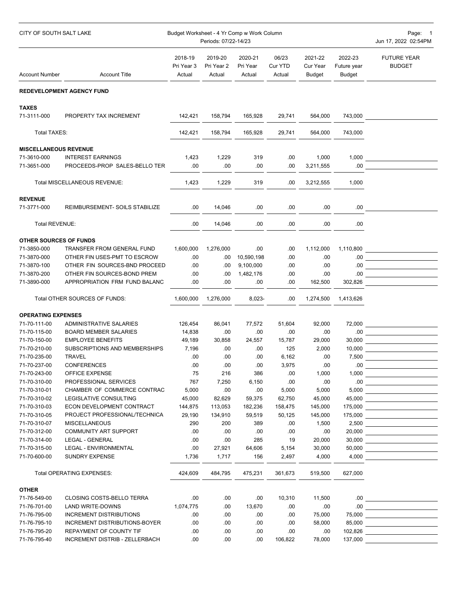| CITY OF SOUTH SALT LAKE       |                                  | Budget Worksheet - 4 Yr Comp w Work Column<br>Periods: 07/22-14/23 |                       |                     |                  |                     |                        | Page: 1<br>Jun 17, 2022 02:54PM                                                                                                                                                                                                                                                                                                   |
|-------------------------------|----------------------------------|--------------------------------------------------------------------|-----------------------|---------------------|------------------|---------------------|------------------------|-----------------------------------------------------------------------------------------------------------------------------------------------------------------------------------------------------------------------------------------------------------------------------------------------------------------------------------|
|                               |                                  | 2018-19<br>Pri Year 3                                              | 2019-20<br>Pri Year 2 | 2020-21<br>Pri Year | 06/23<br>Cur YTD | 2021-22<br>Cur Year | 2022-23<br>Future year | <b>FUTURE YEAR</b><br><b>BUDGET</b>                                                                                                                                                                                                                                                                                               |
| <b>Account Number</b>         | <b>Account Title</b>             | Actual                                                             | Actual                | Actual              | Actual           | Budget              | <b>Budget</b>          |                                                                                                                                                                                                                                                                                                                                   |
|                               | <b>REDEVELOPMENT AGENCY FUND</b> |                                                                    |                       |                     |                  |                     |                        |                                                                                                                                                                                                                                                                                                                                   |
| <b>TAXES</b><br>71-3111-000   | PROPERTY TAX INCREMENT           | 142,421                                                            | 158,794               | 165,928             | 29,741           | 564,000             | 743,000                |                                                                                                                                                                                                                                                                                                                                   |
|                               |                                  |                                                                    |                       |                     |                  |                     |                        |                                                                                                                                                                                                                                                                                                                                   |
| Total TAXES:                  |                                  | 142,421                                                            | 158.794               | 165,928             | 29,741           | 564,000             | 743,000                |                                                                                                                                                                                                                                                                                                                                   |
| <b>MISCELLANEOUS REVENUE</b>  |                                  |                                                                    |                       |                     |                  |                     |                        |                                                                                                                                                                                                                                                                                                                                   |
| 71-3610-000                   | <b>INTEREST EARNINGS</b>         | 1,423                                                              | 1,229                 | 319                 | .00              | 1,000               |                        | 1,000                                                                                                                                                                                                                                                                                                                             |
| 71-3651-000                   | PROCEEDS-PROP SALES-BELLO TER    | .00.                                                               | .00.                  | .00                 | .00              | 3,211,555           | .00.                   |                                                                                                                                                                                                                                                                                                                                   |
| Total MISCELLANEOUS REVENUE:  |                                  | 1,423                                                              | 1,229                 | 319                 | .00              | 3,212,555           | 1,000                  |                                                                                                                                                                                                                                                                                                                                   |
| <b>REVENUE</b>                |                                  |                                                                    |                       |                     |                  |                     |                        |                                                                                                                                                                                                                                                                                                                                   |
| 71-3771-000                   | REIMBURSEMENT- SOILS STABILIZE   | .00.                                                               | 14,046                | .00                 | .00.             | .00                 | .00.                   |                                                                                                                                                                                                                                                                                                                                   |
| <b>Total REVENUE:</b>         |                                  | .00.                                                               | 14,046                | .00                 | .00              | .00                 | .00                    |                                                                                                                                                                                                                                                                                                                                   |
| OTHER SOURCES OF FUNDS        |                                  |                                                                    |                       |                     |                  |                     |                        |                                                                                                                                                                                                                                                                                                                                   |
| 71-3850-000                   | TRANSFER FROM GENERAL FUND       | 1,600,000                                                          | 1,276,000             | .00                 | .00              | 1,112,000           | 1,110,800              | the control of the control of the control of                                                                                                                                                                                                                                                                                      |
| 71-3870-000                   | OTHER FIN USES-PMT TO ESCROW     | .00                                                                | .00.                  | 10,590,198          | .00              | .00                 | .00.                   |                                                                                                                                                                                                                                                                                                                                   |
| 71-3870-100                   | OTHER FIN SOURCES-BND PROCEED    | .00.                                                               | .00.                  | 9,100,000           | .00              | .00                 | .00.                   | the control of the control of the control of                                                                                                                                                                                                                                                                                      |
| 71-3870-200                   | OTHER FIN SOURCES-BOND PREM      | .00.                                                               | .00.                  | 1,482,176           | .00              | .00                 | .00.                   |                                                                                                                                                                                                                                                                                                                                   |
| 71-3890-000                   | APPROPRIATION FRM FUND BALANC    | .00.                                                               | .00.                  | .00                 | .00.             | 162,500             | 302,826                |                                                                                                                                                                                                                                                                                                                                   |
| Total OTHER SOURCES OF FUNDS: |                                  |                                                                    | 1,600,000 1,276,000   | 8,023-              | .00.             | 1,274,500           | 1,413,626              |                                                                                                                                                                                                                                                                                                                                   |
| <b>OPERATING EXPENSES</b>     |                                  |                                                                    |                       |                     |                  |                     |                        |                                                                                                                                                                                                                                                                                                                                   |
| 71-70-111-00                  | ADMINISTRATIVE SALARIES          | 126,454                                                            | 86,041                | 77.572              | 51,604           | 92,000              |                        | <b>72,000</b> and <b>1000</b> and <b>1000</b> and <b>1000</b> and <b>1000</b> and <b>1000</b> and <b>1000</b> and <b>1000</b> and <b>1000</b> and <b>1000</b> and <b>1000</b> and <b>1000</b> and <b>1000</b> and <b>1000</b> and <b>1000</b> and <b>1000</b> and <b>1000</b> and <b>1000</b> and <b>1000</b> and <b>1000</b> and |
| 71-70-115-00                  | <b>BOARD MEMBER SALARIES</b>     | 14,838                                                             | .00.                  | .00                 | .00              | .00                 | .00.                   | <u> 1980 - Andrea Andrew Maria (b. 1980)</u>                                                                                                                                                                                                                                                                                      |
| 71-70-150-00                  | <b>EMPLOYEE BENEFITS</b>         | 49,189                                                             | 30,858                | 24,557              | 15,787           | 29,000              | 30,000                 | the control of the control of the control of                                                                                                                                                                                                                                                                                      |
| 71-70-210-00                  | SUBSCRIPTIONS AND MEMBERSHIPS    | 7,196                                                              | .00.                  | .00.                | 125              | 2,000               | 10,000                 | <u> 1989 - Johann Barbara, martin a</u>                                                                                                                                                                                                                                                                                           |
| 71-70-235-00                  | TRAVEL                           | .00.                                                               | .00.                  | .00                 | 6,162            | .00                 | 7,500                  | the control of the control of the control of the                                                                                                                                                                                                                                                                                  |
| 71-70-237-00                  | <b>CONFERENCES</b>               | .00                                                                | .00.                  | .00                 | 3,975            | .00                 | .00.                   |                                                                                                                                                                                                                                                                                                                                   |
| 71-70-243-00                  | OFFICE EXPENSE                   | 75                                                                 | 216                   | 386                 | .00              | 1,000               | 1,000                  | <u> 1989 - Johann Barn, mars and de Branch Barn, mars and de Branch Barn, mars and de Branch Barn, mars and de Br</u>                                                                                                                                                                                                             |
| 71-70-310-00                  | PROFESSIONAL SERVICES            | 767                                                                | 7,250                 | 6,150               | .00              | .00                 |                        | $\sim$ 00 $\sim$ 00 $\sim$                                                                                                                                                                                                                                                                                                        |
| 71-70-310-01                  | CHAMBER OF COMMERCE CONTRAC      | 5,000                                                              | .00.                  | .00                 | 5,000            | 5,000               |                        | $5,000$                                                                                                                                                                                                                                                                                                                           |
| 71-70-310-02                  | LEGISLATIVE CONSULTING           | 45,000                                                             | 82,629                | 59,375              | 62,750           | 45,000              | 45,000                 | <u> 1980 - Johann Barn, mars ann an t-Alban an t-Alban ann an t-Alban ann an t-Alban ann an t-Alban ann an t-Alba</u>                                                                                                                                                                                                             |
| 71-70-310-03                  | ECON DEVELOPMENT CONTRACT        | 144,875                                                            | 113,053               | 182,236             | 158,475          | 145,000             |                        |                                                                                                                                                                                                                                                                                                                                   |
| 71-70-310-05                  | PROJECT PROFESSIONAL/TECHNICA    | 29,190                                                             | 134,910               | 59,519              | 50,125           | 145,000             |                        |                                                                                                                                                                                                                                                                                                                                   |
| 71-70-310-07                  | <b>MISCELLANEOUS</b>             | 290                                                                | 200                   | 389                 | .00              | 1,500               |                        |                                                                                                                                                                                                                                                                                                                                   |
| 71-70-312-00                  | <b>COMMUNITY ART SUPPORT</b>     | .00                                                                | .00                   | .00                 | .00              | .00                 |                        |                                                                                                                                                                                                                                                                                                                                   |
| 71-70-314-00                  | LEGAL - GENERAL                  | .00                                                                | .00.                  | 285                 | 19               | 20,000              |                        |                                                                                                                                                                                                                                                                                                                                   |
| 71-70-315-00                  | LEGAL - ENVIRONMENTAL            | .00.                                                               | 27,921                | 64,606              | 5,154            | 30,000              |                        | $50,000$ $\qquad \qquad \qquad \qquad$                                                                                                                                                                                                                                                                                            |
| 71-70-600-00                  | <b>SUNDRY EXPENSE</b>            | 1,736                                                              | 1,717                 | 156                 | 2,497            | 4,000               | 4,000                  |                                                                                                                                                                                                                                                                                                                                   |
| Total OPERATING EXPENSES:     |                                  | 424,609                                                            | 484,795               | 475,231             | 361,673          | 519,500             | 627,000                |                                                                                                                                                                                                                                                                                                                                   |
| <b>OTHER</b>                  |                                  |                                                                    |                       |                     |                  |                     |                        |                                                                                                                                                                                                                                                                                                                                   |
| 71-76-549-00                  | CLOSING COSTS-BELLO TERRA        | .00.                                                               | .00.                  | .00.                | 10,310           | 11,500              |                        |                                                                                                                                                                                                                                                                                                                                   |
| 71-76-701-00                  | LAND WRITE-DOWNS                 | 1,074,775                                                          | .00.                  | 13,670              | .00              | .00                 |                        |                                                                                                                                                                                                                                                                                                                                   |
| 71-76-795-00                  | <b>INCREMENT DISTRIBUTIONS</b>   | .00.                                                               | .00.                  | .00                 | .00              | 75,000              |                        | 75,000                                                                                                                                                                                                                                                                                                                            |
| 71-76-795-10                  | INCREMENT DISTRIBUTIONS-BOYER    | .00                                                                | .00.                  | .00                 | .00              | 58,000              |                        |                                                                                                                                                                                                                                                                                                                                   |
| 71-76-795-20                  | REPAYMENT OF COUNTY TIF          | .00.                                                               | .00.                  | .00                 | .00              | .00                 |                        | 102,826 _________________________                                                                                                                                                                                                                                                                                                 |
| 71-76-795-40                  | INCREMENT DISTRIB - ZELLERBACH   | .00                                                                | .00.                  | .00.                | 106,822          | 78,000              |                        |                                                                                                                                                                                                                                                                                                                                   |